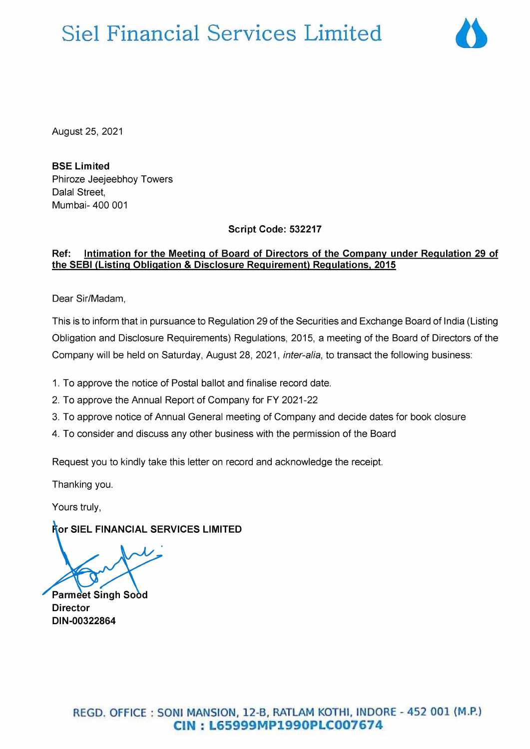## Siel Financial Services Limited



August 25, 2021

BSE Limited Phiroze Jeejeebhoy Towers Dalal Street, Mumbai- 400 001

Script Code: 532217

## Ref: Intimation for the Meeting of Board of Directors of the Company under Regulation 29 of the SEBI (Listing Obligation & Disclosure Requirement) Regulations, 2015

Dear Sir/Madam,

This is to inform that in pursuance to Regulation 29 of the Securities and Exchange Board of India (Listing Obligation and Disclosure Requirements) Regulations, 2015, a meeting of the Board of Directors of the Company will be held on Saturday, August 28, 2021, inter-alia, to transact the following business:

1. To approve the notice of Postal ballot and finalise record date.

2. To approve the Annual Report of Company for FY 2021-22

3. To approve notice of Annual General meeting of Company and decide dates for book closure

4. To consider and discuss any other business with the permission of the Board

Request you to kindly take this letter on record and acknowledge the receipt.

Thanking you.

Yours truly,

**Ror SIEL FINANCIAL SERVICES LIMITED** 

Parmeet Singh Sood Director DIN-00322864